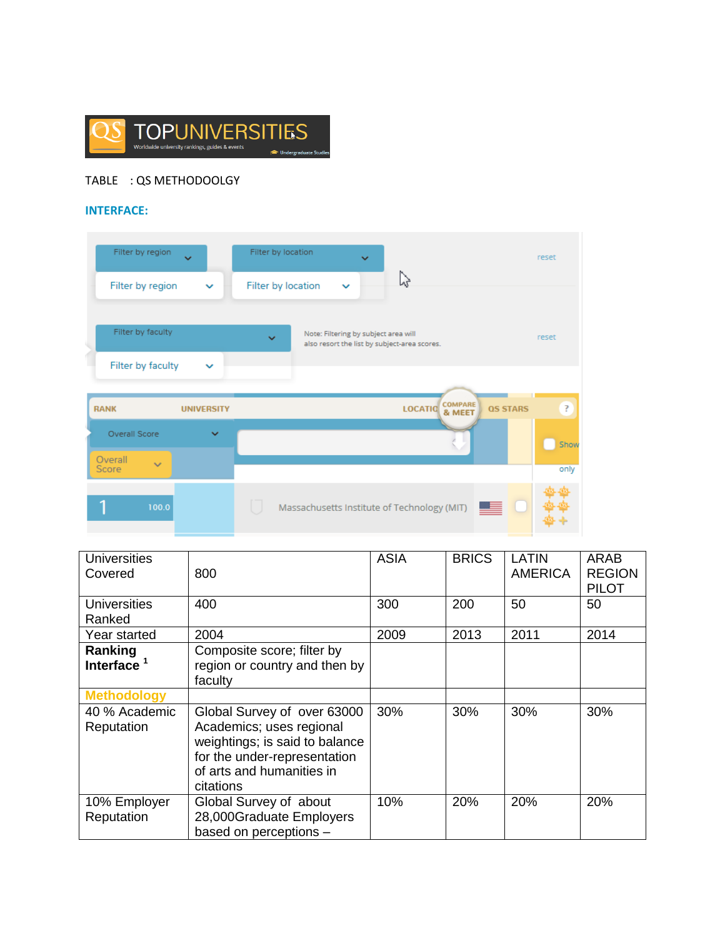

## TABLE : QS METHODOOLGY

## **INTERFACE:**

| Filter by region<br>$\ddotmark$<br>Filter by region<br>$\checkmark$ | Filter by location<br>$\checkmark$<br>D<br>Filter by location<br>$\checkmark$                        | reset        |
|---------------------------------------------------------------------|------------------------------------------------------------------------------------------------------|--------------|
| Filter by faculty<br>Filter by faculty<br>$\checkmark$              | Note: Filtering by subject area will<br>$\checkmark$<br>also resort the list by subject-area scores. | reset        |
| <b>RANK</b><br><b>UNIVERSITY</b><br>Overall Score<br>$\checkmark$   | <b>COMPARE</b><br><b>LOCATIC</b><br><b>QS STARS</b><br>& MEET                                        | Ŧ.           |
| Overall<br>$\checkmark$<br>Score                                    |                                                                                                      | Show<br>only |

| <b>Universities</b><br>Covered    | 800                                                                                                                                                                 | <b>ASIA</b> | <b>BRICS</b> | LATIN<br><b>AMERICA</b> | <b>ARAB</b><br><b>REGION</b><br><b>PILOT</b> |
|-----------------------------------|---------------------------------------------------------------------------------------------------------------------------------------------------------------------|-------------|--------------|-------------------------|----------------------------------------------|
| <b>Universities</b><br>Ranked     | 400                                                                                                                                                                 | 300         | 200          | 50                      | 50                                           |
| Year started                      | 2004                                                                                                                                                                | 2009        | 2013         | 2011                    | 2014                                         |
| Ranking<br>Interface <sup>1</sup> | Composite score; filter by<br>region or country and then by<br>faculty                                                                                              |             |              |                         |                                              |
| <b>Methodology</b>                |                                                                                                                                                                     |             |              |                         |                                              |
| 40 % Academic<br>Reputation       | Global Survey of over 63000<br>Academics; uses regional<br>weightings; is said to balance<br>for the under-representation<br>of arts and humanities in<br>citations | 30%         | 30%          | 30%                     | 30%                                          |
| 10% Employer<br>Reputation        | Global Survey of about<br>28,000Graduate Employers<br>based on perceptions -                                                                                        | 10%         | 20%          | 20%                     | 20%                                          |